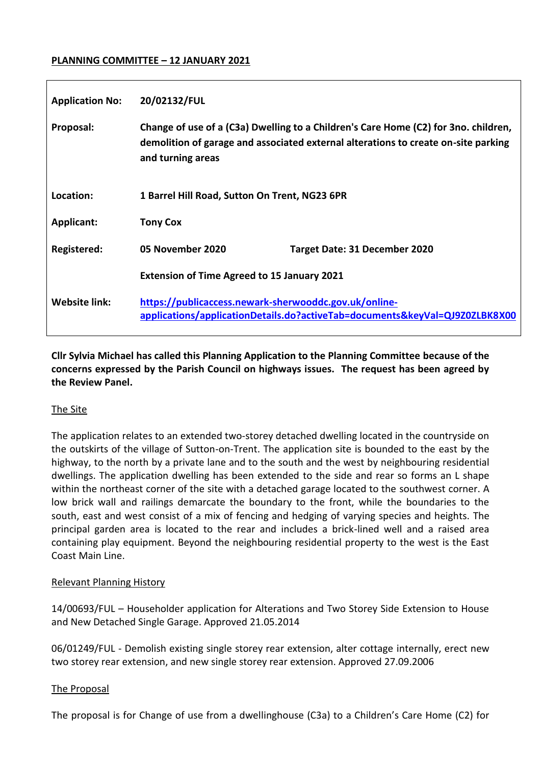### **PLANNING COMMITTEE – 12 JANUARY 2021**

| <b>Application No:</b> | 20/02132/FUL                                                                                                                                                                                   |                                      |  |  |  |
|------------------------|------------------------------------------------------------------------------------------------------------------------------------------------------------------------------------------------|--------------------------------------|--|--|--|
| Proposal:              | Change of use of a (C3a) Dwelling to a Children's Care Home (C2) for 3no. children,<br>demolition of garage and associated external alterations to create on-site parking<br>and turning areas |                                      |  |  |  |
| Location:              | 1 Barrel Hill Road, Sutton On Trent, NG23 6PR                                                                                                                                                  |                                      |  |  |  |
| <b>Applicant:</b>      | <b>Tony Cox</b>                                                                                                                                                                                |                                      |  |  |  |
| <b>Registered:</b>     | 05 November 2020                                                                                                                                                                               | <b>Target Date: 31 December 2020</b> |  |  |  |
|                        | <b>Extension of Time Agreed to 15 January 2021</b>                                                                                                                                             |                                      |  |  |  |
| <b>Website link:</b>   | https://publicaccess.newark-sherwooddc.gov.uk/online-<br>applications/applicationDetails.do?activeTab=documents&keyVal=QJ9Z0ZLBK8X00                                                           |                                      |  |  |  |

**Cllr Sylvia Michael has called this Planning Application to the Planning Committee because of the concerns expressed by the Parish Council on highways issues. The request has been agreed by the Review Panel.** 

#### The Site

The application relates to an extended two-storey detached dwelling located in the countryside on the outskirts of the village of Sutton-on-Trent. The application site is bounded to the east by the highway, to the north by a private lane and to the south and the west by neighbouring residential dwellings. The application dwelling has been extended to the side and rear so forms an L shape within the northeast corner of the site with a detached garage located to the southwest corner. A low brick wall and railings demarcate the boundary to the front, while the boundaries to the south, east and west consist of a mix of fencing and hedging of varying species and heights. The principal garden area is located to the rear and includes a brick-lined well and a raised area containing play equipment. Beyond the neighbouring residential property to the west is the East Coast Main Line.

#### Relevant Planning History

14/00693/FUL – Householder application for Alterations and Two Storey Side Extension to House and New Detached Single Garage. Approved 21.05.2014

06/01249/FUL - Demolish existing single storey rear extension, alter cottage internally, erect new two storey rear extension, and new single storey rear extension. Approved 27.09.2006

#### The Proposal

The proposal is for Change of use from a dwellinghouse (C3a) to a Children's Care Home (C2) for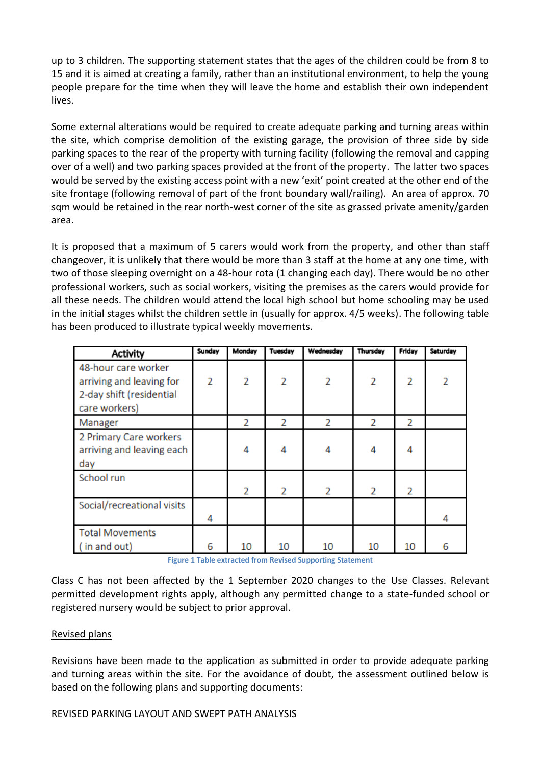up to 3 children. The supporting statement states that the ages of the children could be from 8 to 15 and it is aimed at creating a family, rather than an institutional environment, to help the young people prepare for the time when they will leave the home and establish their own independent lives.

Some external alterations would be required to create adequate parking and turning areas within the site, which comprise demolition of the existing garage, the provision of three side by side parking spaces to the rear of the property with turning facility (following the removal and capping over of a well) and two parking spaces provided at the front of the property. The latter two spaces would be served by the existing access point with a new 'exit' point created at the other end of the site frontage (following removal of part of the front boundary wall/railing). An area of approx. 70 sqm would be retained in the rear north-west corner of the site as grassed private amenity/garden area.

It is proposed that a maximum of 5 carers would work from the property, and other than staff changeover, it is unlikely that there would be more than 3 staff at the home at any one time, with two of those sleeping overnight on a 48-hour rota (1 changing each day). There would be no other professional workers, such as social workers, visiting the premises as the carers would provide for all these needs. The children would attend the local high school but home schooling may be used in the initial stages whilst the children settle in (usually for approx. 4/5 weeks). The following table has been produced to illustrate typical weekly movements.

| Activity                                                                                     | Sunday         | Monday         | Tuesday | Wednesday      | Thursday | Friday | Saturday |
|----------------------------------------------------------------------------------------------|----------------|----------------|---------|----------------|----------|--------|----------|
| 48-hour care worker<br>arriving and leaving for<br>2-day shift (residential<br>care workers) | $\overline{2}$ | $\overline{2}$ | 2       | $\overline{2}$ | 2        | 2      | 2        |
| Manager                                                                                      |                | 2              | 2       | 2              | 2        | 2      |          |
| 2 Primary Care workers<br>arriving and leaving each<br>day                                   |                | 4              | 4       | 4              | 4        | 4      |          |
| School run                                                                                   |                | 2              | 2       | 2              | 2        | 2      |          |
| Social/recreational visits                                                                   | 4              |                |         |                |          |        | 4        |
| <b>Total Movements</b><br>(in and out)                                                       | 6              | 10             | 10      | 10             | 10       | 10     | 6        |

**Figure 1 Table extracted from Revised Supporting Statement**

Class C has not been affected by the 1 September 2020 changes to the Use Classes. Relevant permitted development rights apply, although any permitted change to a state-funded school or registered nursery would be subject to prior approval.

# Revised plans

Revisions have been made to the application as submitted in order to provide adequate parking and turning areas within the site. For the avoidance of doubt, the assessment outlined below is based on the following plans and supporting documents:

#### REVISED PARKING LAYOUT AND SWEPT PATH ANALYSIS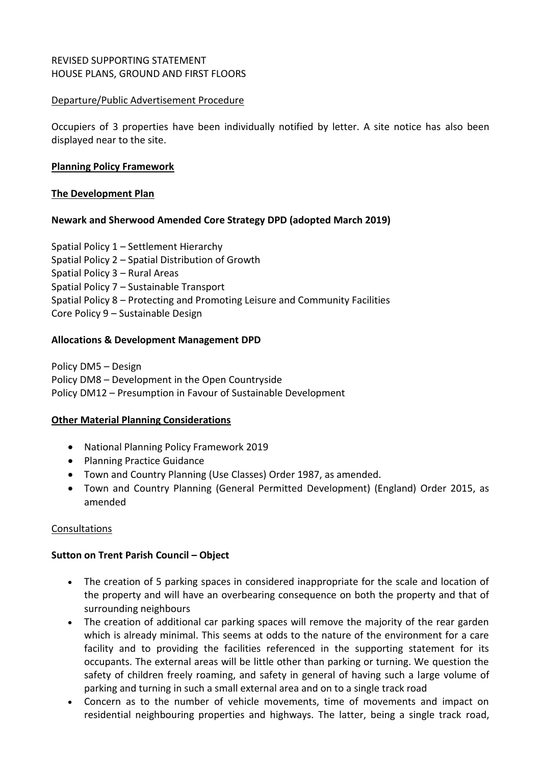# REVISED SUPPORTING STATEMENT HOUSE PLANS, GROUND AND FIRST FLOORS

### Departure/Public Advertisement Procedure

Occupiers of 3 properties have been individually notified by letter. A site notice has also been displayed near to the site.

### **Planning Policy Framework**

### **The Development Plan**

### **Newark and Sherwood Amended Core Strategy DPD (adopted March 2019)**

Spatial Policy 1 – Settlement Hierarchy Spatial Policy 2 – Spatial Distribution of Growth Spatial Policy 3 – Rural Areas Spatial Policy 7 – Sustainable Transport Spatial Policy 8 – Protecting and Promoting Leisure and Community Facilities Core Policy 9 – Sustainable Design

### **Allocations & Development Management DPD**

Policy DM5 – Design Policy DM8 – Development in the Open Countryside Policy DM12 – Presumption in Favour of Sustainable Development

#### **Other Material Planning Considerations**

- National Planning Policy Framework 2019
- Planning Practice Guidance
- Town and Country Planning (Use Classes) Order 1987, as amended.
- Town and Country Planning (General Permitted Development) (England) Order 2015, as amended

#### Consultations

# **Sutton on Trent Parish Council – Object**

- The creation of 5 parking spaces in considered inappropriate for the scale and location of the property and will have an overbearing consequence on both the property and that of surrounding neighbours
- The creation of additional car parking spaces will remove the majority of the rear garden which is already minimal. This seems at odds to the nature of the environment for a care facility and to providing the facilities referenced in the supporting statement for its occupants. The external areas will be little other than parking or turning. We question the safety of children freely roaming, and safety in general of having such a large volume of parking and turning in such a small external area and on to a single track road
- Concern as to the number of vehicle movements, time of movements and impact on residential neighbouring properties and highways. The latter, being a single track road,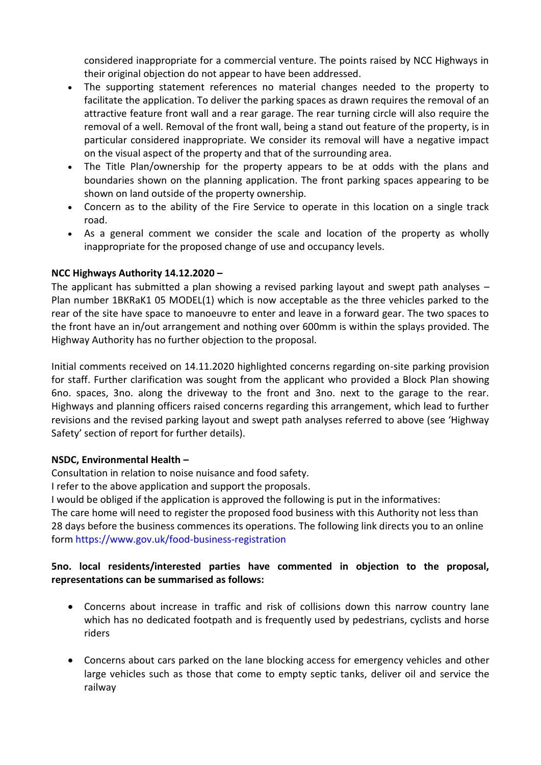considered inappropriate for a commercial venture. The points raised by NCC Highways in their original objection do not appear to have been addressed.

- The supporting statement references no material changes needed to the property to facilitate the application. To deliver the parking spaces as drawn requires the removal of an attractive feature front wall and a rear garage. The rear turning circle will also require the removal of a well. Removal of the front wall, being a stand out feature of the property, is in particular considered inappropriate. We consider its removal will have a negative impact on the visual aspect of the property and that of the surrounding area.
- The Title Plan/ownership for the property appears to be at odds with the plans and boundaries shown on the planning application. The front parking spaces appearing to be shown on land outside of the property ownership.
- Concern as to the ability of the Fire Service to operate in this location on a single track road.
- As a general comment we consider the scale and location of the property as wholly inappropriate for the proposed change of use and occupancy levels.

# **NCC Highways Authority 14.12.2020 –**

The applicant has submitted a plan showing a revised parking layout and swept path analyses – Plan number 1BKRaK1 05 MODEL(1) which is now acceptable as the three vehicles parked to the rear of the site have space to manoeuvre to enter and leave in a forward gear. The two spaces to the front have an in/out arrangement and nothing over 600mm is within the splays provided. The Highway Authority has no further objection to the proposal.

Initial comments received on 14.11.2020 highlighted concerns regarding on-site parking provision for staff. Further clarification was sought from the applicant who provided a Block Plan showing 6no. spaces, 3no. along the driveway to the front and 3no. next to the garage to the rear. Highways and planning officers raised concerns regarding this arrangement, which lead to further revisions and the revised parking layout and swept path analyses referred to above (see 'Highway Safety' section of report for further details).

# **NSDC, Environmental Health –**

Consultation in relation to noise nuisance and food safety.

I refer to the above application and support the proposals.

I would be obliged if the application is approved the following is put in the informatives:

The care home will need to register the proposed food business with this Authority not less than 28 days before the business commences its operations. The following link directs you to an online form https://www.gov.uk/food-business-registration

# **5no. local residents/interested parties have commented in objection to the proposal, representations can be summarised as follows:**

- Concerns about increase in traffic and risk of collisions down this narrow country lane which has no dedicated footpath and is frequently used by pedestrians, cyclists and horse riders
- Concerns about cars parked on the lane blocking access for emergency vehicles and other large vehicles such as those that come to empty septic tanks, deliver oil and service the railway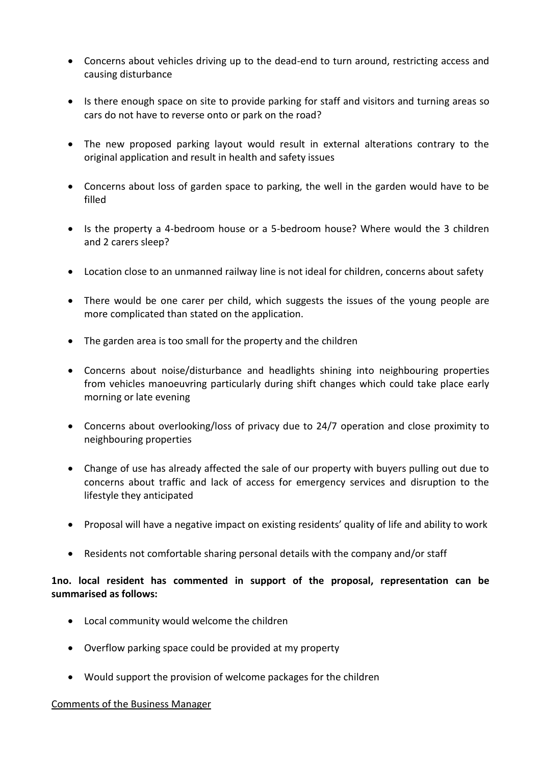- Concerns about vehicles driving up to the dead-end to turn around, restricting access and causing disturbance
- Is there enough space on site to provide parking for staff and visitors and turning areas so cars do not have to reverse onto or park on the road?
- The new proposed parking layout would result in external alterations contrary to the original application and result in health and safety issues
- Concerns about loss of garden space to parking, the well in the garden would have to be filled
- Is the property a 4-bedroom house or a 5-bedroom house? Where would the 3 children and 2 carers sleep?
- Location close to an unmanned railway line is not ideal for children, concerns about safety
- There would be one carer per child, which suggests the issues of the young people are more complicated than stated on the application.
- The garden area is too small for the property and the children
- Concerns about noise/disturbance and headlights shining into neighbouring properties from vehicles manoeuvring particularly during shift changes which could take place early morning or late evening
- Concerns about overlooking/loss of privacy due to 24/7 operation and close proximity to neighbouring properties
- Change of use has already affected the sale of our property with buyers pulling out due to concerns about traffic and lack of access for emergency services and disruption to the lifestyle they anticipated
- Proposal will have a negative impact on existing residents' quality of life and ability to work
- Residents not comfortable sharing personal details with the company and/or staff

# **1no. local resident has commented in support of the proposal, representation can be summarised as follows:**

- Local community would welcome the children
- Overflow parking space could be provided at my property
- Would support the provision of welcome packages for the children

#### Comments of the Business Manager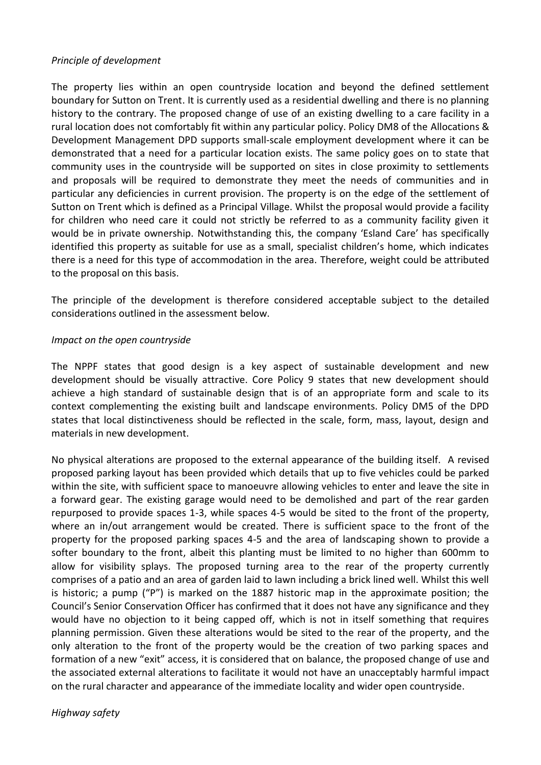#### *Principle of development*

The property lies within an open countryside location and beyond the defined settlement boundary for Sutton on Trent. It is currently used as a residential dwelling and there is no planning history to the contrary. The proposed change of use of an existing dwelling to a care facility in a rural location does not comfortably fit within any particular policy. Policy DM8 of the Allocations & Development Management DPD supports small-scale employment development where it can be demonstrated that a need for a particular location exists. The same policy goes on to state that community uses in the countryside will be supported on sites in close proximity to settlements and proposals will be required to demonstrate they meet the needs of communities and in particular any deficiencies in current provision. The property is on the edge of the settlement of Sutton on Trent which is defined as a Principal Village. Whilst the proposal would provide a facility for children who need care it could not strictly be referred to as a community facility given it would be in private ownership. Notwithstanding this, the company 'Esland Care' has specifically identified this property as suitable for use as a small, specialist children's home, which indicates there is a need for this type of accommodation in the area. Therefore, weight could be attributed to the proposal on this basis.

The principle of the development is therefore considered acceptable subject to the detailed considerations outlined in the assessment below.

### *Impact on the open countryside*

The NPPF states that good design is a key aspect of sustainable development and new development should be visually attractive. Core Policy 9 states that new development should achieve a high standard of sustainable design that is of an appropriate form and scale to its context complementing the existing built and landscape environments. Policy DM5 of the DPD states that local distinctiveness should be reflected in the scale, form, mass, layout, design and materials in new development.

No physical alterations are proposed to the external appearance of the building itself. A revised proposed parking layout has been provided which details that up to five vehicles could be parked within the site, with sufficient space to manoeuvre allowing vehicles to enter and leave the site in a forward gear. The existing garage would need to be demolished and part of the rear garden repurposed to provide spaces 1-3, while spaces 4-5 would be sited to the front of the property, where an in/out arrangement would be created. There is sufficient space to the front of the property for the proposed parking spaces 4-5 and the area of landscaping shown to provide a softer boundary to the front, albeit this planting must be limited to no higher than 600mm to allow for visibility splays. The proposed turning area to the rear of the property currently comprises of a patio and an area of garden laid to lawn including a brick lined well. Whilst this well is historic; a pump ("P") is marked on the 1887 historic map in the approximate position; the Council's Senior Conservation Officer has confirmed that it does not have any significance and they would have no objection to it being capped off, which is not in itself something that requires planning permission. Given these alterations would be sited to the rear of the property, and the only alteration to the front of the property would be the creation of two parking spaces and formation of a new "exit" access, it is considered that on balance, the proposed change of use and the associated external alterations to facilitate it would not have an unacceptably harmful impact on the rural character and appearance of the immediate locality and wider open countryside.

*Highway safety*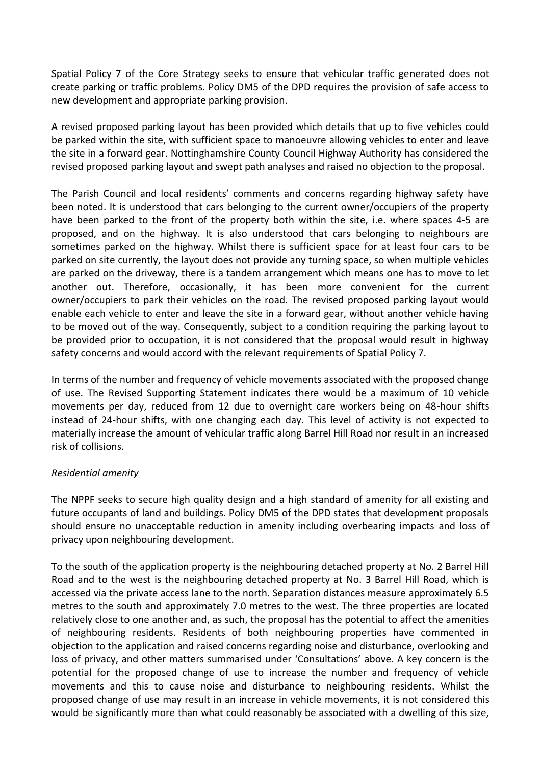Spatial Policy 7 of the Core Strategy seeks to ensure that vehicular traffic generated does not create parking or traffic problems. Policy DM5 of the DPD requires the provision of safe access to new development and appropriate parking provision.

A revised proposed parking layout has been provided which details that up to five vehicles could be parked within the site, with sufficient space to manoeuvre allowing vehicles to enter and leave the site in a forward gear. Nottinghamshire County Council Highway Authority has considered the revised proposed parking layout and swept path analyses and raised no objection to the proposal.

The Parish Council and local residents' comments and concerns regarding highway safety have been noted. It is understood that cars belonging to the current owner/occupiers of the property have been parked to the front of the property both within the site, i.e. where spaces 4-5 are proposed, and on the highway. It is also understood that cars belonging to neighbours are sometimes parked on the highway. Whilst there is sufficient space for at least four cars to be parked on site currently, the layout does not provide any turning space, so when multiple vehicles are parked on the driveway, there is a tandem arrangement which means one has to move to let another out. Therefore, occasionally, it has been more convenient for the current owner/occupiers to park their vehicles on the road. The revised proposed parking layout would enable each vehicle to enter and leave the site in a forward gear, without another vehicle having to be moved out of the way. Consequently, subject to a condition requiring the parking layout to be provided prior to occupation, it is not considered that the proposal would result in highway safety concerns and would accord with the relevant requirements of Spatial Policy 7.

In terms of the number and frequency of vehicle movements associated with the proposed change of use. The Revised Supporting Statement indicates there would be a maximum of 10 vehicle movements per day, reduced from 12 due to overnight care workers being on 48-hour shifts instead of 24-hour shifts, with one changing each day. This level of activity is not expected to materially increase the amount of vehicular traffic along Barrel Hill Road nor result in an increased risk of collisions.

# *Residential amenity*

The NPPF seeks to secure high quality design and a high standard of amenity for all existing and future occupants of land and buildings. Policy DM5 of the DPD states that development proposals should ensure no unacceptable reduction in amenity including overbearing impacts and loss of privacy upon neighbouring development.

To the south of the application property is the neighbouring detached property at No. 2 Barrel Hill Road and to the west is the neighbouring detached property at No. 3 Barrel Hill Road, which is accessed via the private access lane to the north. Separation distances measure approximately 6.5 metres to the south and approximately 7.0 metres to the west. The three properties are located relatively close to one another and, as such, the proposal has the potential to affect the amenities of neighbouring residents. Residents of both neighbouring properties have commented in objection to the application and raised concerns regarding noise and disturbance, overlooking and loss of privacy, and other matters summarised under 'Consultations' above. A key concern is the potential for the proposed change of use to increase the number and frequency of vehicle movements and this to cause noise and disturbance to neighbouring residents. Whilst the proposed change of use may result in an increase in vehicle movements, it is not considered this would be significantly more than what could reasonably be associated with a dwelling of this size,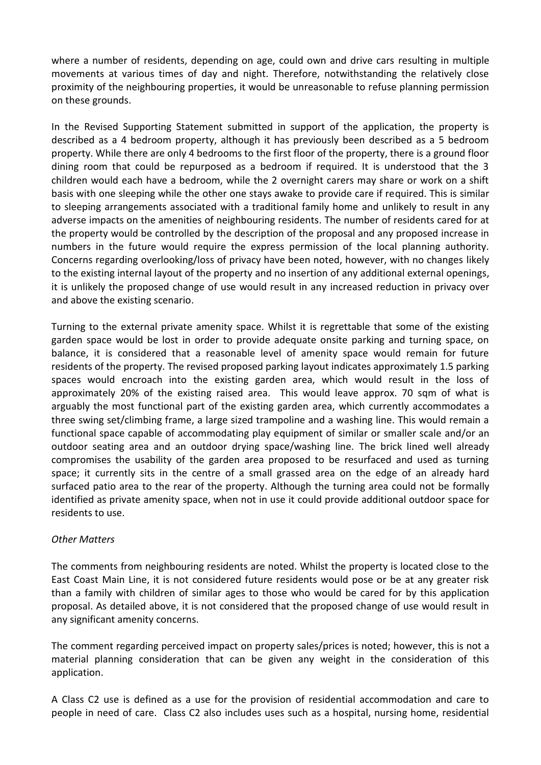where a number of residents, depending on age, could own and drive cars resulting in multiple movements at various times of day and night. Therefore, notwithstanding the relatively close proximity of the neighbouring properties, it would be unreasonable to refuse planning permission on these grounds.

In the Revised Supporting Statement submitted in support of the application, the property is described as a 4 bedroom property, although it has previously been described as a 5 bedroom property. While there are only 4 bedrooms to the first floor of the property, there is a ground floor dining room that could be repurposed as a bedroom if required. It is understood that the 3 children would each have a bedroom, while the 2 overnight carers may share or work on a shift basis with one sleeping while the other one stays awake to provide care if required. This is similar to sleeping arrangements associated with a traditional family home and unlikely to result in any adverse impacts on the amenities of neighbouring residents. The number of residents cared for at the property would be controlled by the description of the proposal and any proposed increase in numbers in the future would require the express permission of the local planning authority. Concerns regarding overlooking/loss of privacy have been noted, however, with no changes likely to the existing internal layout of the property and no insertion of any additional external openings, it is unlikely the proposed change of use would result in any increased reduction in privacy over and above the existing scenario.

Turning to the external private amenity space. Whilst it is regrettable that some of the existing garden space would be lost in order to provide adequate onsite parking and turning space, on balance, it is considered that a reasonable level of amenity space would remain for future residents of the property. The revised proposed parking layout indicates approximately 1.5 parking spaces would encroach into the existing garden area, which would result in the loss of approximately 20% of the existing raised area. This would leave approx. 70 sqm of what is arguably the most functional part of the existing garden area, which currently accommodates a three swing set/climbing frame, a large sized trampoline and a washing line. This would remain a functional space capable of accommodating play equipment of similar or smaller scale and/or an outdoor seating area and an outdoor drying space/washing line. The brick lined well already compromises the usability of the garden area proposed to be resurfaced and used as turning space; it currently sits in the centre of a small grassed area on the edge of an already hard surfaced patio area to the rear of the property. Although the turning area could not be formally identified as private amenity space, when not in use it could provide additional outdoor space for residents to use.

#### *Other Matters*

The comments from neighbouring residents are noted. Whilst the property is located close to the East Coast Main Line, it is not considered future residents would pose or be at any greater risk than a family with children of similar ages to those who would be cared for by this application proposal. As detailed above, it is not considered that the proposed change of use would result in any significant amenity concerns.

The comment regarding perceived impact on property sales/prices is noted; however, this is not a material planning consideration that can be given any weight in the consideration of this application.

A Class C2 use is defined as a use for the provision of residential accommodation and care to people in need of care. Class C2 also includes uses such as a hospital, nursing home, residential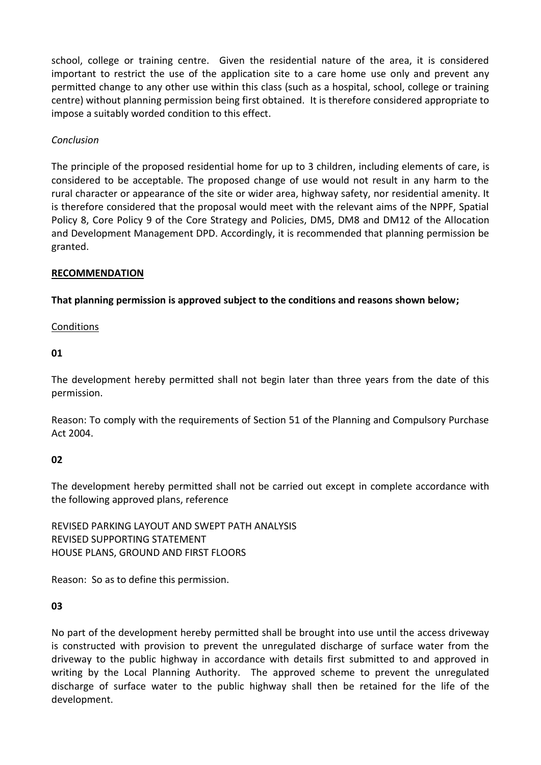school, college or training centre. Given the residential nature of the area, it is considered important to restrict the use of the application site to a care home use only and prevent any permitted change to any other use within this class (such as a hospital, school, college or training centre) without planning permission being first obtained. It is therefore considered appropriate to impose a suitably worded condition to this effect.

# *Conclusion*

The principle of the proposed residential home for up to 3 children, including elements of care, is considered to be acceptable. The proposed change of use would not result in any harm to the rural character or appearance of the site or wider area, highway safety, nor residential amenity. It is therefore considered that the proposal would meet with the relevant aims of the NPPF, Spatial Policy 8, Core Policy 9 of the Core Strategy and Policies, DM5, DM8 and DM12 of the Allocation and Development Management DPD. Accordingly, it is recommended that planning permission be granted.

#### **RECOMMENDATION**

**That planning permission is approved subject to the conditions and reasons shown below;**

#### **Conditions**

#### **01**

The development hereby permitted shall not begin later than three years from the date of this permission.

Reason: To comply with the requirements of Section 51 of the Planning and Compulsory Purchase Act 2004.

# **02**

The development hereby permitted shall not be carried out except in complete accordance with the following approved plans, reference

REVISED PARKING LAYOUT AND SWEPT PATH ANALYSIS REVISED SUPPORTING STATEMENT HOUSE PLANS, GROUND AND FIRST FLOORS

Reason: So as to define this permission.

# **03**

No part of the development hereby permitted shall be brought into use until the access driveway is constructed with provision to prevent the unregulated discharge of surface water from the driveway to the public highway in accordance with details first submitted to and approved in writing by the Local Planning Authority. The approved scheme to prevent the unregulated discharge of surface water to the public highway shall then be retained for the life of the development.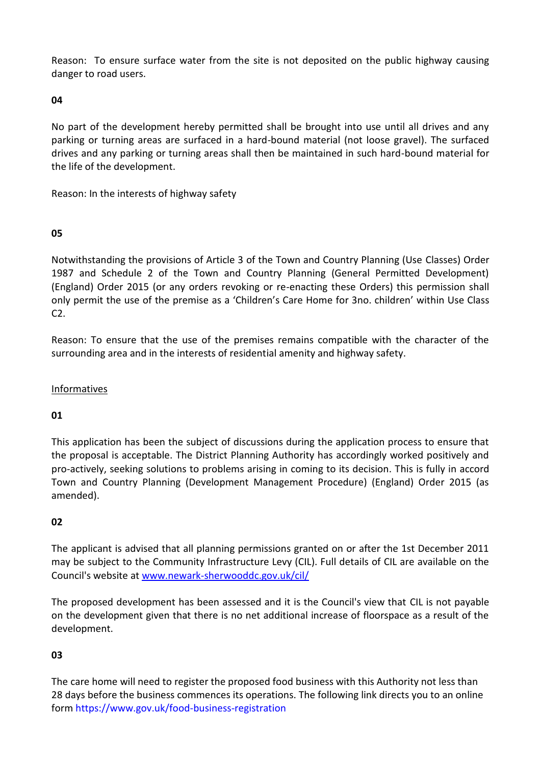Reason: To ensure surface water from the site is not deposited on the public highway causing danger to road users.

# **04**

No part of the development hereby permitted shall be brought into use until all drives and any parking or turning areas are surfaced in a hard-bound material (not loose gravel). The surfaced drives and any parking or turning areas shall then be maintained in such hard-bound material for the life of the development.

Reason: In the interests of highway safety

# **05**

Notwithstanding the provisions of Article 3 of the Town and Country Planning (Use Classes) Order 1987 and Schedule 2 of the Town and Country Planning (General Permitted Development) (England) Order 2015 (or any orders revoking or re-enacting these Orders) this permission shall only permit the use of the premise as a 'Children's Care Home for 3no. children' within Use Class C2.

Reason: To ensure that the use of the premises remains compatible with the character of the surrounding area and in the interests of residential amenity and highway safety.

### **Informatives**

# **01**

This application has been the subject of discussions during the application process to ensure that the proposal is acceptable. The District Planning Authority has accordingly worked positively and pro-actively, seeking solutions to problems arising in coming to its decision. This is fully in accord Town and Country Planning (Development Management Procedure) (England) Order 2015 (as amended).

# **02**

The applicant is advised that all planning permissions granted on or after the 1st December 2011 may be subject to the Community Infrastructure Levy (CIL). Full details of CIL are available on the Council's website at [www.newark-sherwooddc.gov.uk/cil/](http://www.newark-sherwooddc.gov.uk/cil/)

The proposed development has been assessed and it is the Council's view that CIL is not payable on the development given that there is no net additional increase of floorspace as a result of the development.

# **03**

The care home will need to register the proposed food business with this Authority not less than 28 days before the business commences its operations. The following link directs you to an online form https://www.gov.uk/food-business-registration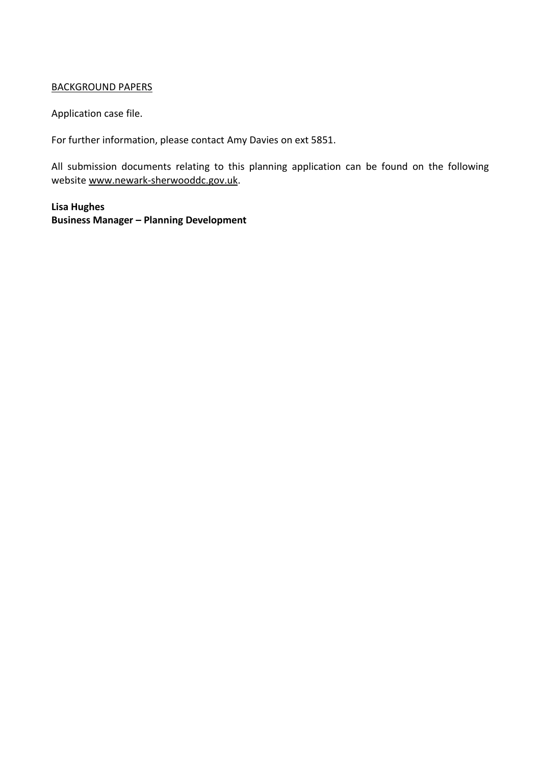### BACKGROUND PAPERS

Application case file.

For further information, please contact Amy Davies on ext 5851.

All submission documents relating to this planning application can be found on the following websit[e www.newark-sherwooddc.gov.uk.](http://www.newark-sherwooddc.gov.uk/)

**Lisa Hughes Business Manager – Planning Development**